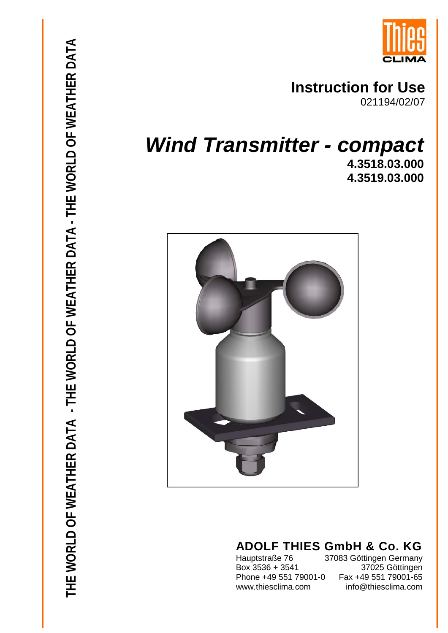

# **Instruction for Use**

021194/02/07

# *Wind Transmitter - compact* **4.3518.03.000 4.3519.03.000**



# **ADOLF THIES GmbH & Co. KG**<br>Hauptstraße 76 37083 Göttingen Germany

Box  $3536 + 3541$ Phone +49 551 79001-0

37083 Göttingen Germany<br>37025 Göttingen Fax +49 551 79001-65 www.thiesclima.com info@thiesclima.com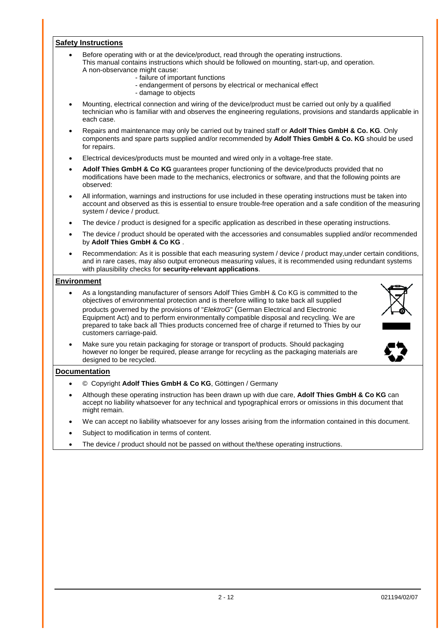#### **Safety Instructions**

- Before operating with or at the device/product, read through the operating instructions. This manual contains instructions which should be followed on mounting, start-up, and operation. A non-observance might cause:
	- failure of important functions
	- endangerment of persons by electrical or mechanical effect
	- damage to objects
- Mounting, electrical connection and wiring of the device/product must be carried out only by a qualified technician who is familiar with and observes the engineering regulations, provisions and standards applicable in each case.
- Repairs and maintenance may only be carried out by trained staff or **Adolf Thies GmbH & Co. KG**. Only components and spare parts supplied and/or recommended by **Adolf Thies GmbH & Co. KG** should be used for repairs.
- Electrical devices/products must be mounted and wired only in a voltage-free state.
- **Adolf Thies GmbH & Co KG** guarantees proper functioning of the device/products provided that no modifications have been made to the mechanics, electronics or software, and that the following points are observed:
- All information, warnings and instructions for use included in these operating instructions must be taken into account and observed as this is essential to ensure trouble-free operation and a safe condition of the measuring system / device / product.
- The device / product is designed for a specific application as described in these operating instructions.
- The device / product should be operated with the accessories and consumables supplied and/or recommended by **Adolf Thies GmbH & Co KG** .
- Recommendation: As it is possible that each measuring system / device / product may, under certain conditions, and in rare cases, may also output erroneous measuring values, it is recommended using redundant systems with plausibility checks for **security-relevant applications**.

#### **Environment**

- As a longstanding manufacturer of sensors Adolf Thies GmbH & Co KG is committed to the objectives of environmental protection and is therefore willing to take back all supplied products governed by the provisions of "*ElektroG*" (German Electrical and Electronic Equipment Act) and to perform environmentally compatible disposal and recycling. We are prepared to take back all Thies products concerned free of charge if returned to Thies by our customers carriage-paid.
- Make sure you retain packaging for storage or transport of products. Should packaging however no longer be required, please arrange for recycling as the packaging materials are designed to be recycled.

#### **Documentation**

- © Copyright **Adolf Thies GmbH & Co KG**, Göttingen / Germany
- Although these operating instruction has been drawn up with due care, **Adolf Thies GmbH & Co KG** can accept no liability whatsoever for any technical and typographical errors or omissions in this document that might remain.
- We can accept no liability whatsoever for any losses arising from the information contained in this document.
- Subject to modification in terms of content.
- The device / product should not be passed on without the/these operating instructions.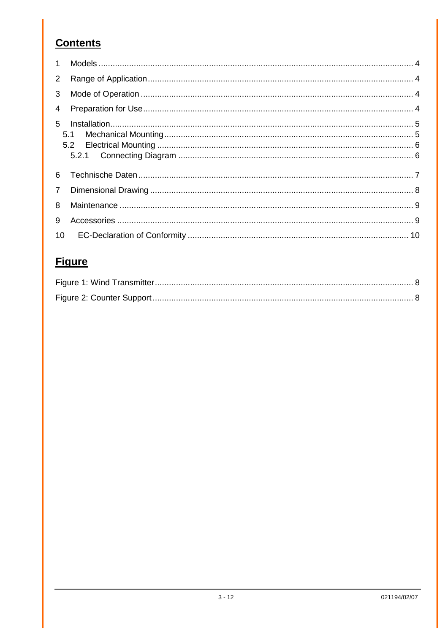### **Contents**

| $\mathbf{1}$   |     |  |
|----------------|-----|--|
| $\overline{2}$ |     |  |
| 3              |     |  |
| $\overline{4}$ |     |  |
| $5 -$          | 5.1 |  |
| 6              |     |  |
| $\overline{7}$ |     |  |
| 8              |     |  |
| 9              |     |  |
| 10             |     |  |

### **Figure**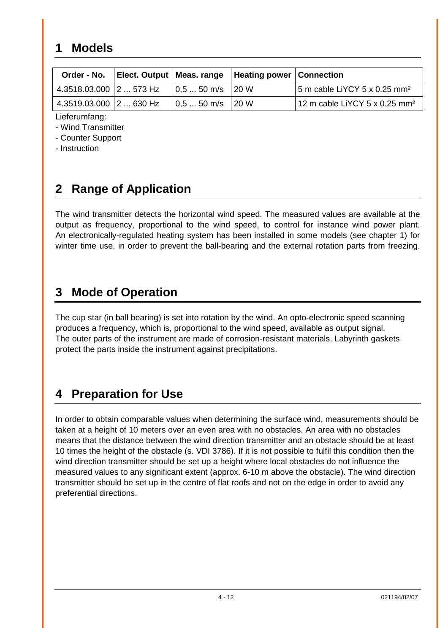### <span id="page-3-0"></span>**1 Models**

| Order - No.                           |                                                              | Elect. Output   Meas. range   Heating power   Connection |                                           |
|---------------------------------------|--------------------------------------------------------------|----------------------------------------------------------|-------------------------------------------|
| <sup>'</sup> 4.3518.03.000 ∣2  573 Hz | $\vert 0.5 \ldots 50 \vert m/s \vert \vert 20 \vert W \vert$ |                                                          | 5 m cable LiYCY 5 x 0.25 mm <sup>2</sup>  |
| 4.3519.03.000 2  630 Hz               | $0.550$ m/s                                                  | 120 W                                                    | 12 m cable LiYCY 5 x 0.25 mm <sup>2</sup> |

Lieferumfang:

- Wind Transmitter

- Counter Support

- Instruction

## <span id="page-3-1"></span>**2 Range of Application**

The wind transmitter detects the horizontal wind speed. The measured values are available at the output as frequency, proportional to the wind speed, to control for instance wind power plant. An electronically-regulated heating system has been installed in some models (see chapter 1) for winter time use, in order to prevent the ball-bearing and the external rotation parts from freezing.

### <span id="page-3-2"></span>**3 Mode of Operation**

The cup star (in ball bearing) is set into rotation by the wind. An opto-electronic speed scanning produces a frequency, which is, proportional to the wind speed, available as output signal. The outer parts of the instrument are made of corrosion-resistant materials. Labyrinth gaskets protect the parts inside the instrument against precipitations.

## <span id="page-3-3"></span>**4 Preparation for Use**

In order to obtain comparable values when determining the surface wind, measurements should be taken at a height of 10 meters over an even area with no obstacles. An area with no obstacles means that the distance between the wind direction transmitter and an obstacle should be at least 10 times the height of the obstacle (s. VDI 3786). If it is not possible to fulfil this condition then the wind direction transmitter should be set up a height where local obstacles do not influence the measured values to any significant extent (approx. 6-10 m above the obstacle). The wind direction transmitter should be set up in the centre of flat roofs and not on the edge in order to avoid any preferential directions.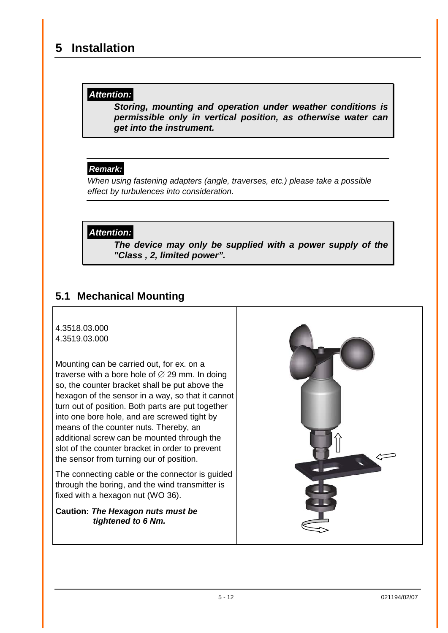### <span id="page-4-0"></span>**5 Installation**

#### *Attention:*

*Storing, mounting and operation under weather conditions is permissible only in vertical position, as otherwise water can get into the instrument.*

### *Remark:*

*When using fastening adapters (angle, traverses, etc.) please take a possible effect by turbulences into consideration.*

### *Attention:*

*The device may only be supplied with a power supply of the "Class , 2, limited power".* 

### <span id="page-4-1"></span>**5.1 Mechanical Mounting**

#### 4.3518.03.000 4.3519.03.000

Mounting can be carried out, for ex. on a traverse with a bore hole of  $\varnothing$  29 mm. In doing so, the counter bracket shall be put above the hexagon of the sensor in a way, so that it cannot turn out of position. Both parts are put together into one bore hole, and are screwed tight by means of the counter nuts. Thereby, an additional screw can be mounted through the slot of the counter bracket in order to prevent the sensor from turning our of position.

The connecting cable or the connector is guided through the boring, and the wind transmitter is fixed with a hexagon nut (WO 36).

#### **Caution:** *The Hexagon nuts must be tightened to 6 Nm.*

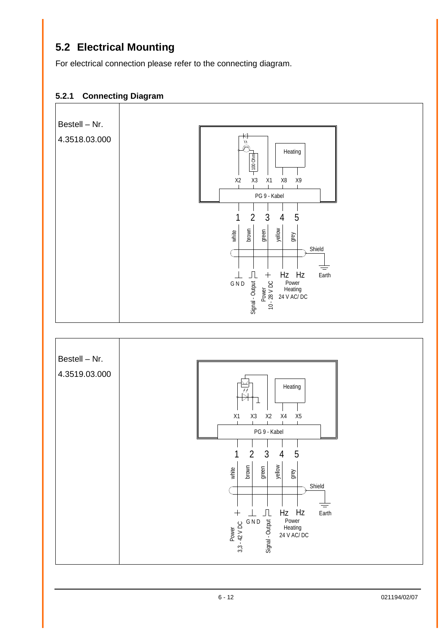### <span id="page-5-0"></span>**5.2 Electrical Mounting**

For electrical connection please refer to the connecting diagram.

#### <span id="page-5-1"></span>**5.2.1 Connecting Diagram**

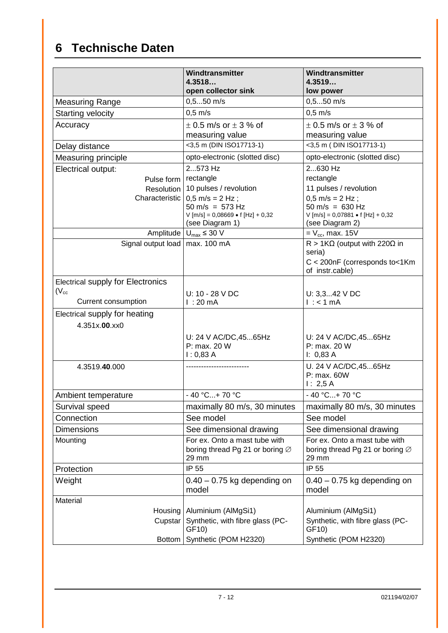# <span id="page-6-0"></span>**6 Technische Daten**

|                                          | Windtransmitter                                         | Windtransmitter                                         |  |  |
|------------------------------------------|---------------------------------------------------------|---------------------------------------------------------|--|--|
|                                          | 4.3518<br>open collector sink                           | 4.3519<br>low power                                     |  |  |
| <b>Measuring Range</b>                   | $0, 550$ m/s                                            | $0, 550$ m/s                                            |  |  |
| <b>Starting velocity</b>                 | $0.5$ m/s                                               | $0,5$ m/s                                               |  |  |
| Accuracy                                 | $\pm$ 0.5 m/s or $\pm$ 3 % of                           | $\pm$ 0.5 m/s or $\pm$ 3 % of                           |  |  |
|                                          | measuring value                                         | measuring value                                         |  |  |
| Delay distance                           | <3,5 m (DIN ISO17713-1)                                 | <3,5 m (DIN ISO17713-1)                                 |  |  |
| Measuring principle                      | opto-electronic (slotted disc)                          | opto-electronic (slotted disc)                          |  |  |
| Electrical output:                       | 2573 Hz                                                 | 2630 Hz                                                 |  |  |
| Pulse form                               | rectangle                                               | rectangle                                               |  |  |
|                                          | Resolution   10 pulses / revolution                     | 11 pulses / revolution                                  |  |  |
|                                          | Characteristic $\vert 0.5 \text{ m/s} = 2 \text{ Hz}$ ; | $0,5$ m/s = 2 Hz;                                       |  |  |
|                                          | $50 \text{ m/s} = 573 \text{ Hz}$                       | $50 \text{ m/s} = 630 \text{ Hz}$                       |  |  |
|                                          | $V$ [m/s] = 0,08669 • f [Hz] + 0,32<br>(see Diagram 1)  | $V$ [m/s] = 0,07881 • f [Hz] + 0,32<br>(see Diagram 2)  |  |  |
| Amplitude                                | $U_{\text{max}} \leq 30$ V                              | $= V_{cc}$ , max. 15V                                   |  |  |
| Signal output load                       | max. 100 mA                                             | $R > 1K\Omega$ (output with 220 $\Omega$ in<br>seria)   |  |  |
|                                          |                                                         | C < 200nF (corresponds to<1Km<br>of instr.cable)        |  |  |
| <b>Electrical supply for Electronics</b> |                                                         |                                                         |  |  |
| $(V_{cc}$                                | U: 10 - 28 V DC                                         | U: $3,342$ V DC                                         |  |  |
| Current consumption                      | l:20mA                                                  | $l : < 1$ mA                                            |  |  |
| Electrical supply for heating            |                                                         |                                                         |  |  |
| 4.351x.00.xx0                            |                                                         |                                                         |  |  |
|                                          | U: 24 V AC/DC, 4565Hz                                   | U: 24 V AC/DC, 4565Hz                                   |  |  |
|                                          | P: max. 20 W                                            | P: max. 20 W                                            |  |  |
|                                          | 1:0,83 A                                                | I: 0,83 A                                               |  |  |
| 4.3519.40.000                            |                                                         | U. 24 V AC/DC, 4565Hz<br>P: max. 60W                    |  |  |
|                                          |                                                         | 1: 2,5A                                                 |  |  |
| Ambient temperature                      | $-40 °C+70 °C$                                          | $-40 °C+70 °C$                                          |  |  |
| Survival speed                           | maximally 80 m/s, 30 minutes                            | maximally 80 m/s, 30 minutes                            |  |  |
| Connection                               | See model                                               | See model                                               |  |  |
| <b>Dimensions</b>                        | See dimensional drawing                                 | See dimensional drawing                                 |  |  |
| Mounting                                 | For ex. Onto a mast tube with                           | For ex. Onto a mast tube with                           |  |  |
|                                          | boring thread Pg 21 or boring $\varnothing$             | boring thread Pg 21 or boring $\varnothing$             |  |  |
|                                          | 29 mm                                                   | 29 mm                                                   |  |  |
| Protection                               | IP 55                                                   | IP 55                                                   |  |  |
| Weight                                   | $0.40 - 0.75$ kg depending on                           | $0.40 - 0.75$ kg depending on                           |  |  |
|                                          | model                                                   | model                                                   |  |  |
| Material                                 |                                                         |                                                         |  |  |
| Housing<br>Cupstar                       | Aluminium (AlMgSi1)<br>Synthetic, with fibre glass (PC- | Aluminium (AlMgSi1)<br>Synthetic, with fibre glass (PC- |  |  |
|                                          | GF10)                                                   | GF10)                                                   |  |  |
| <b>Bottom</b>                            | Synthetic (POM H2320)                                   | Synthetic (POM H2320)                                   |  |  |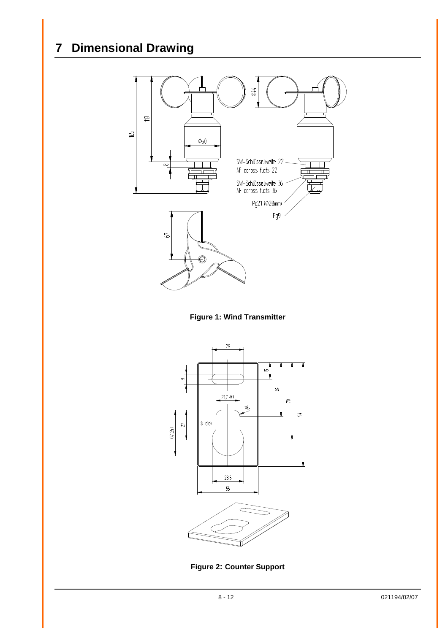# <span id="page-7-0"></span>**7 Dimensional Drawing**





<span id="page-7-1"></span>

<span id="page-7-2"></span>**Figure 2: Counter Support**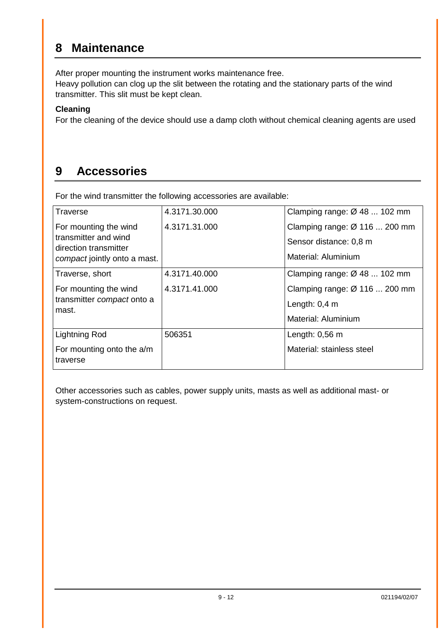### <span id="page-8-0"></span>**8 Maintenance**

After proper mounting the instrument works maintenance free.

Heavy pollution can clog up the slit between the rotating and the stationary parts of the wind transmitter. This slit must be kept clean.

#### **Cleaning**

For the cleaning of the device should use a damp cloth without chemical cleaning agents are used

### <span id="page-8-1"></span>**9 Accessories**

For the wind transmitter the following accessories are available:

| <b>Traverse</b>                               | 4.3171.30.000 | Clamping range: $\varnothing$ 48  102 mm |  |  |
|-----------------------------------------------|---------------|------------------------------------------|--|--|
| For mounting the wind                         | 4.3171.31.000 | Clamping range: Ø 116  200 mm            |  |  |
| transmitter and wind<br>direction transmitter |               | Sensor distance: 0,8 m                   |  |  |
| compact jointly onto a mast.                  |               | Material: Aluminium                      |  |  |
| Traverse, short                               | 4.3171.40.000 | Clamping range: $\varnothing$ 48  102 mm |  |  |
| For mounting the wind                         | 4.3171.41.000 | Clamping range: Ø 116  200 mm            |  |  |
| transmitter compact onto a<br>mast.           |               | Length: $0,4$ m                          |  |  |
|                                               |               | Material: Aluminium                      |  |  |
| <b>Lightning Rod</b>                          | 506351        | Length: $0,56$ m                         |  |  |
| For mounting onto the a/m<br>traverse         |               | Material: stainless steel                |  |  |

Other accessories such as cables, power supply units, masts as well as additional mast- or system-constructions on request.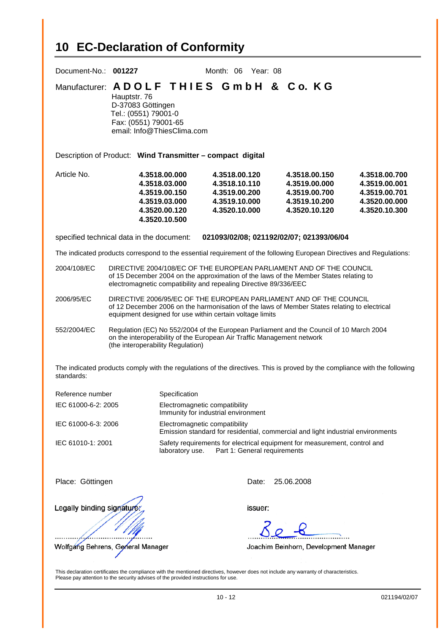# <span id="page-9-0"></span>**10 EC-Declaration of Conformity**

| Document-No.: 001227<br>Month: 06 Year: 08                                                                                                                                                                                  |                                                                                                                                                                                                                                |                                                                                                                              |                                                                                                                                                                                                                                  |  |                                                                                   |                                                                                   |
|-----------------------------------------------------------------------------------------------------------------------------------------------------------------------------------------------------------------------------|--------------------------------------------------------------------------------------------------------------------------------------------------------------------------------------------------------------------------------|------------------------------------------------------------------------------------------------------------------------------|----------------------------------------------------------------------------------------------------------------------------------------------------------------------------------------------------------------------------------|--|-----------------------------------------------------------------------------------|-----------------------------------------------------------------------------------|
| Manufacturer: ADOLF THIES GmbH & Co. KG<br>Hauptstr. 76<br>D-37083 Göttingen<br>Tel.: (0551) 79001-0<br>Fax: (0551) 79001-65<br>email: Info@ThiesClima.com                                                                  |                                                                                                                                                                                                                                |                                                                                                                              |                                                                                                                                                                                                                                  |  |                                                                                   |                                                                                   |
|                                                                                                                                                                                                                             |                                                                                                                                                                                                                                |                                                                                                                              | Description of Product: Wind Transmitter - compact digital                                                                                                                                                                       |  |                                                                                   |                                                                                   |
| Article No.                                                                                                                                                                                                                 |                                                                                                                                                                                                                                | 4.3518.00.000<br>4.3518.03.000<br>4.3519.00.150<br>4.3519.03.000<br>4.3520.00.120<br>4.3520.10.500                           | 4.3518.00.120<br>4.3518.10.110<br>4.3519.00.200<br>4.3519.10.000<br>4.3520.10.000                                                                                                                                                |  | 4.3518.00.150<br>4.3519.00.000<br>4.3519.00.700<br>4.3519.10.200<br>4.3520.10.120 | 4.3518.00.700<br>4.3519.00.001<br>4.3519.00.701<br>4.3520.00.000<br>4.3520.10.300 |
|                                                                                                                                                                                                                             | specified technical data in the document:                                                                                                                                                                                      |                                                                                                                              | 021093/02/08; 021192/02/07; 021393/06/04                                                                                                                                                                                         |  |                                                                                   |                                                                                   |
|                                                                                                                                                                                                                             |                                                                                                                                                                                                                                |                                                                                                                              | The indicated products correspond to the essential requirement of the following European Directives and Regulations:                                                                                                             |  |                                                                                   |                                                                                   |
| 2004/108/EC                                                                                                                                                                                                                 |                                                                                                                                                                                                                                |                                                                                                                              | DIRECTIVE 2004/108/EC OF THE EUROPEAN PARLIAMENT AND OF THE COUNCIL<br>of 15 December 2004 on the approximation of the laws of the Member States relating to<br>electromagnetic compatibility and repealing Directive 89/336/EEC |  |                                                                                   |                                                                                   |
| 2006/95/EC                                                                                                                                                                                                                  | DIRECTIVE 2006/95/EC OF THE EUROPEAN PARLIAMENT AND OF THE COUNCIL<br>of 12 December 2006 on the harmonisation of the laws of Member States relating to electrical<br>equipment designed for use within certain voltage limits |                                                                                                                              |                                                                                                                                                                                                                                  |  |                                                                                   |                                                                                   |
| 552/2004/EC                                                                                                                                                                                                                 | Regulation (EC) No 552/2004 of the European Parliament and the Council of 10 March 2004<br>on the interoperability of the European Air Traffic Management network<br>(the interoperability Regulation)                         |                                                                                                                              |                                                                                                                                                                                                                                  |  |                                                                                   |                                                                                   |
| The indicated products comply with the regulations of the directives. This is proved by the compliance with the following<br>standards:                                                                                     |                                                                                                                                                                                                                                |                                                                                                                              |                                                                                                                                                                                                                                  |  |                                                                                   |                                                                                   |
| Reference number                                                                                                                                                                                                            |                                                                                                                                                                                                                                | Specification                                                                                                                |                                                                                                                                                                                                                                  |  |                                                                                   |                                                                                   |
| IEC 61000-6-2: 2005                                                                                                                                                                                                         |                                                                                                                                                                                                                                | Electromagnetic compatibility<br>Immunity for industrial environment                                                         |                                                                                                                                                                                                                                  |  |                                                                                   |                                                                                   |
| IEC 61000-6-3: 2006                                                                                                                                                                                                         |                                                                                                                                                                                                                                | Electromagnetic compatibility<br>Emission standard for residential, commercial and light industrial environments             |                                                                                                                                                                                                                                  |  |                                                                                   |                                                                                   |
| IEC 61010-1: 2001                                                                                                                                                                                                           |                                                                                                                                                                                                                                | Safety requirements for electrical equipment for measurement, control and<br>Part 1: General requirements<br>laboratory use. |                                                                                                                                                                                                                                  |  |                                                                                   |                                                                                   |
| Place: Göttingen                                                                                                                                                                                                            |                                                                                                                                                                                                                                |                                                                                                                              | 25.06.2008<br>Date:                                                                                                                                                                                                              |  |                                                                                   |                                                                                   |
| Legally binding signature:                                                                                                                                                                                                  |                                                                                                                                                                                                                                |                                                                                                                              | issuer:                                                                                                                                                                                                                          |  |                                                                                   |                                                                                   |
|                                                                                                                                                                                                                             |                                                                                                                                                                                                                                |                                                                                                                              |                                                                                                                                                                                                                                  |  |                                                                                   |                                                                                   |
| Wolfgang Behrens, General Manager<br>Joachim Beinhorn, Development Manager                                                                                                                                                  |                                                                                                                                                                                                                                |                                                                                                                              |                                                                                                                                                                                                                                  |  |                                                                                   |                                                                                   |
| This declaration certificates the compliance with the mentioned directives, however does not include any warranty of characteristics.<br>Please pay attention to the security advises of the provided instructions for use. |                                                                                                                                                                                                                                |                                                                                                                              |                                                                                                                                                                                                                                  |  |                                                                                   |                                                                                   |